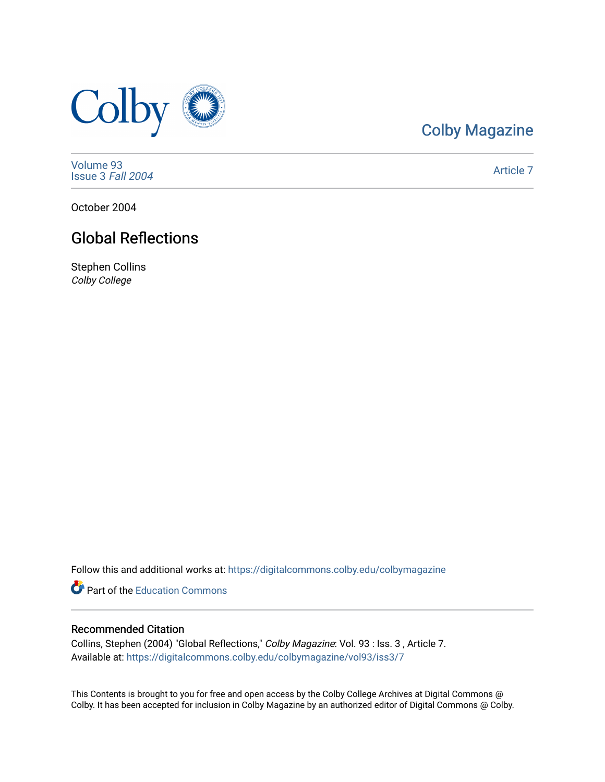

## [Colby Magazine](https://digitalcommons.colby.edu/colbymagazine)

[Volume 93](https://digitalcommons.colby.edu/colbymagazine/vol93) [Issue 3](https://digitalcommons.colby.edu/colbymagazine/vol93/iss3) Fall 2004

[Article 7](https://digitalcommons.colby.edu/colbymagazine/vol93/iss3/7) 

October 2004

## Global Reflections

Stephen Collins Colby College

Follow this and additional works at: [https://digitalcommons.colby.edu/colbymagazine](https://digitalcommons.colby.edu/colbymagazine?utm_source=digitalcommons.colby.edu%2Fcolbymagazine%2Fvol93%2Fiss3%2F7&utm_medium=PDF&utm_campaign=PDFCoverPages)

**P** Part of the [Education Commons](http://network.bepress.com/hgg/discipline/784?utm_source=digitalcommons.colby.edu%2Fcolbymagazine%2Fvol93%2Fiss3%2F7&utm_medium=PDF&utm_campaign=PDFCoverPages)

#### Recommended Citation

Collins, Stephen (2004) "Global Reflections," Colby Magazine: Vol. 93 : Iss. 3 , Article 7. Available at: [https://digitalcommons.colby.edu/colbymagazine/vol93/iss3/7](https://digitalcommons.colby.edu/colbymagazine/vol93/iss3/7?utm_source=digitalcommons.colby.edu%2Fcolbymagazine%2Fvol93%2Fiss3%2F7&utm_medium=PDF&utm_campaign=PDFCoverPages)

This Contents is brought to you for free and open access by the Colby College Archives at Digital Commons @ Colby. It has been accepted for inclusion in Colby Magazine by an authorized editor of Digital Commons @ Colby.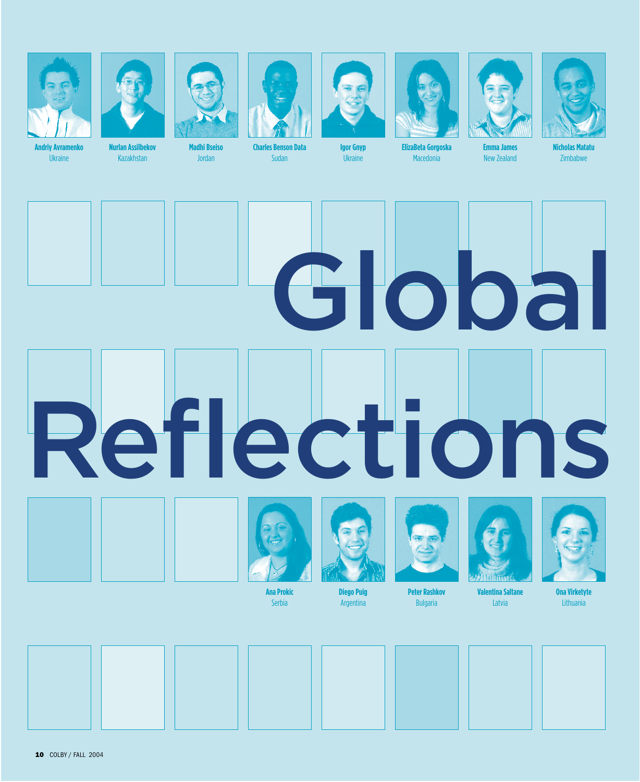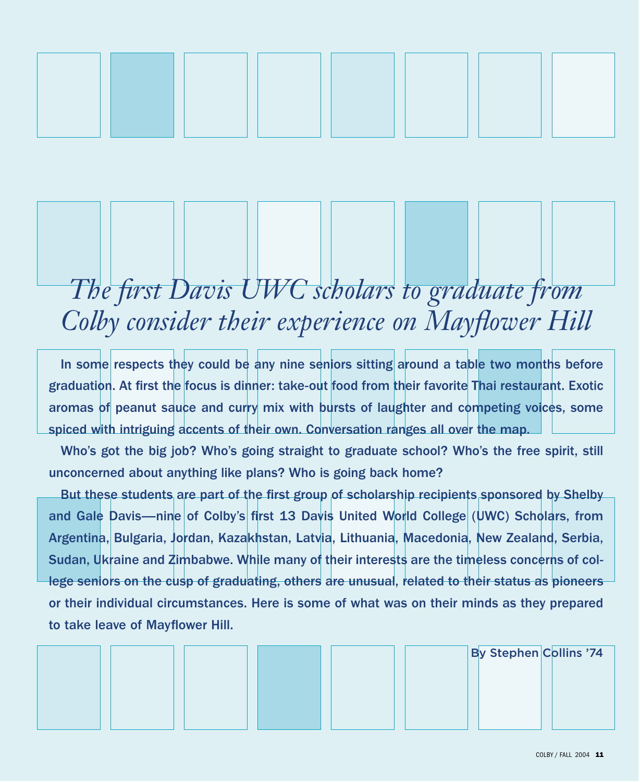

# *The first Davis UWC scholars to graduate from Colby consider their experience on Mayflower Hill*

In some respects they could be any nine seniors sitting around a table two months before graduation. At first the focus is dinner: take-out food from their favorite Thai restaurant. Exotic aromas of peanut sauce and curry mix with bursts of laughter and competing voices, some spiced with intriguing accents of their own. Conversation ranges all over the map.

Who's got the big job? Who's going straight to graduate school? Who's the free spirit, still unconcerned about anything like plans? Who is going back home?

But these students are part of the first group of scholarship recipients sponsored by Shelby and Gale Davis—nine of Colby's first 13 Davis United World College (UWC) Scholars, from Argentina, Bulgaria, Jordan, Kazakhstan, Latvia, Lithuania, Macedonia, New Zealand, Serbia, Sudan, Ukraine and Zimbabwe. While many of their interests are the timeless concerns of college seniors on the cusp of graduating, others are unusual, related to their status as pioneers or their individual circumstances. Here is some of what was on their minds as they prepared to take leave of Mayflower Hill.

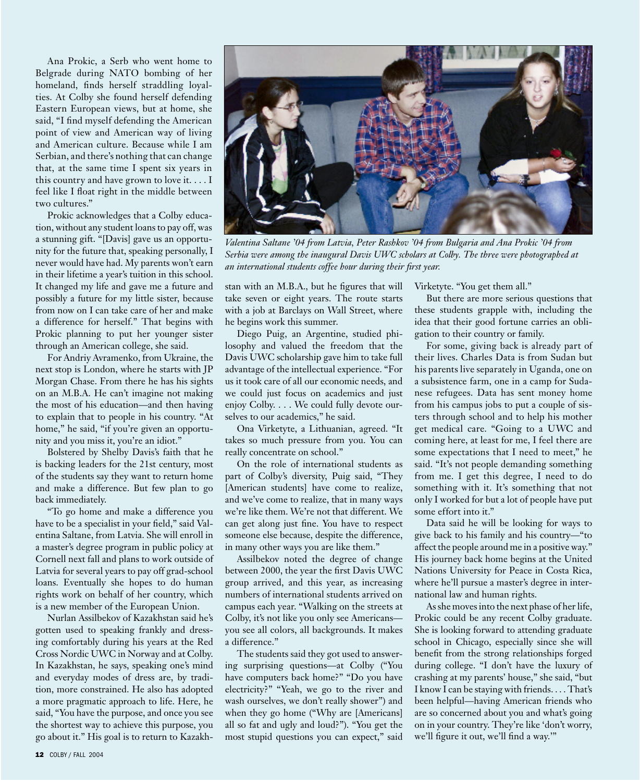Ana Prokic, a Serb who went home to Belgrade during NATO bombing of her homeland, finds herself straddling loyalties. At Colby she found herself defending Eastern European views, but at home, she said, "I find myself defending the American point of view and American way of living and American culture. Because while I am Serbian, and there's nothing that can change that, at the same time I spent six years in this country and have grown to love it. . . . I feel like I float right in the middle between two cultures."

Prokic acknowledges that a Colby education, without any student loans to pay off, was a stunning gift. "[Davis] gave us an opportunity for the future that, speaking personally, I never would have had. My parents won't earn in their lifetime a year's tuition in this school. It changed my life and gave me a future and possibly a future for my little sister, because from now on I can take care of her and make a difference for herself." That begins with Prokic planning to put her younger sister through an American college, she said.

For Andriy Avramenko, from Ukraine, the next stop is London, where he starts with JP Morgan Chase. From there he has his sights on an M.B.A. He can't imagine not making the most of his education—and then having to explain that to people in his country. "At home," he said, "if you're given an opportunity and you miss it, you're an idiot."

Bolstered by Shelby Davis's faith that he is backing leaders for the 21st century, most of the students say they want to return home and make a difference. But few plan to go back immediately.

"To go home and make a difference you have to be a specialist in your field," said Valentina Saltane, from Latvia. She will enroll in a master's degree program in public policy at Cornell next fall and plans to work outside of Latvia for several years to pay off grad-school loans. Eventually she hopes to do human rights work on behalf of her country, which is a new member of the European Union.

Nurlan Assilbekov of Kazakhstan said he's gotten used to speaking frankly and dressing comfortably during his years at the Red Cross Nordic UWC in Norway and at Colby. In Kazakhstan, he says, speaking one's mind and everyday modes of dress are, by tradition, more constrained. He also has adopted a more pragmatic approach to life. Here, he said, "You have the purpose, and once you see the shortest way to achieve this purpose, you go about it." His goal is to return to Kazakh-



*Valentina Saltane '04 from Latvia, Peter Rashkov '04 from Bulgaria and Ana Prokic '04 from Serbia were among the inaugural Davis UWC scholars at Colby. The three were photographed at an international students coffee hour during their first year.*

stan with an M.B.A., but he figures that will take seven or eight years. The route starts with a job at Barclays on Wall Street, where he begins work this summer.

Diego Puig, an Argentine, studied philosophy and valued the freedom that the Davis UWC scholarship gave him to take full advantage of the intellectual experience. "For us it took care of all our economic needs, and we could just focus on academics and just enjoy Colby. . . . We could fully devote ourselves to our academics," he said.

Ona Virketyte, a Lithuanian, agreed. "It takes so much pressure from you. You can really concentrate on school."

On the role of international students as part of Colby's diversity, Puig said, "They [American students] have come to realize, and we've come to realize, that in many ways we're like them. We're not that different. We can get along just fine. You have to respect someone else because, despite the difference, in many other ways you are like them."

Assilbekov noted the degree of change between 2000, the year the first Davis UWC group arrived, and this year, as increasing numbers of international students arrived on campus each year. "Walking on the streets at Colby, it's not like you only see Americans you see all colors, all backgrounds. It makes a difference."

The students said they got used to answering surprising questions—at Colby ("You have computers back home?" "Do you have electricity?" "Yeah, we go to the river and wash ourselves, we don't really shower") and when they go home ("Why are [Americans] all so fat and ugly and loud?"). "You get the most stupid questions you can expect," said Virketyte. "You get them all."

But there are more serious questions that these students grapple with, including the idea that their good fortune carries an obligation to their country or family.

For some, giving back is already part of their lives. Charles Data is from Sudan but his parents live separately in Uganda, one on a subsistence farm, one in a camp for Sudanese refugees. Data has sent money home from his campus jobs to put a couple of sisters through school and to help his mother get medical care. "Going to a UWC and coming here, at least for me, I feel there are some expectations that I need to meet," he said. "It's not people demanding something from me. I get this degree, I need to do something with it. It's something that not only I worked for but a lot of people have put some effort into it."

Data said he will be looking for ways to give back to his family and his country—"to affect the people around me in a positive way." His journey back home begins at the United Nations University for Peace in Costa Rica, where he'll pursue a master's degree in international law and human rights.

As she moves into the next phase of her life, Prokic could be any recent Colby graduate. She is looking forward to attending graduate school in Chicago, especially since she will benefit from the strong relationships forged during college. "I don't have the luxury of crashing at my parents' house," she said, "but I know I can be staying with friends. . . . That's been helpful—having American friends who are so concerned about you and what's going on in your country. They're like 'don't worry, we'll figure it out, we'll find a way.'"